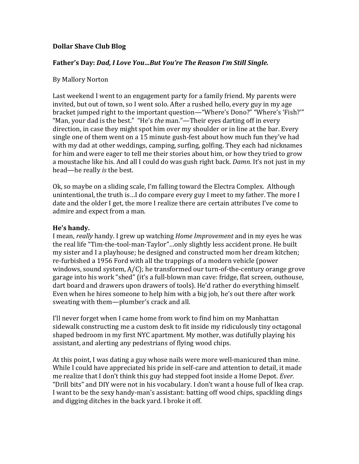# **Dollar Shave Club Blog**

### Father's Day: Dad, I Love You...But You're The Reason I'm Still Single.

#### By Mallory Norton

Last weekend I went to an engagement party for a family friend. My parents were invited, but out of town, so I went solo. After a rushed hello, every guy in my age bracket jumped right to the important question—"Where's Dono?" "Where's 'Fish?'" "Man, your dad is the best." "He's the man."—Their eyes darting off in every direction, in case they might spot him over my shoulder or in line at the bar. Every single one of them went on a 15 minute gush-fest about how much fun they've had with my dad at other weddings, camping, surfing, golfing. They each had nicknames for him and were eager to tell me their stories about him, or how they tried to grow a moustache like his. And all I could do was gush right back. *Damn.* It's not just in my head—he really *is* the best.

Ok, so maybe on a sliding scale, I'm falling toward the Electra Complex. Although unintentional, the truth is...I do compare every guy I meet to my father. The more I date and the older I get, the more I realize there are certain attributes I've come to admire and expect from a man.

#### He's handy.

I mean, *really* handy. I grew up watching *Home Improvement* and in my eyes he was the real life "Tim-the-tool-man-Taylor"...only slightly less accident prone. He built my sister and I a playhouse; he designed and constructed mom her dream kitchen; re-furbished a 1956 Ford with all the trappings of a modern vehicle (power windows, sound system,  $A/C$ ; he transformed our turn-of-the-century orange grove garage into his work "shed" (it's a full-blown man cave: fridge, flat screen, outhouse, dart board and drawers upon drawers of tools). He'd rather do everything himself. Even when he hires someone to help him with a big job, he's out there after work sweating with them—plumber's crack and all.

I'll never forget when I came home from work to find him on my Manhattan sidewalk constructing me a custom desk to fit inside my ridiculously tiny octagonal shaped bedroom in my first NYC apartment. My mother, was dutifully playing his assistant, and alerting any pedestrians of flying wood chips.

At this point, I was dating a guy whose nails were more well-manicured than mine. While I could have appreciated his pride in self-care and attention to detail, it made me realize that I don't think this guy had stepped foot inside a Home Depot. *Ever.* "Drill bits" and DIY were not in his vocabulary. I don't want a house full of Ikea crap. I want to be the sexy handy-man's assistant: batting off wood chips, spackling dings and digging ditches in the back yard. I broke it off.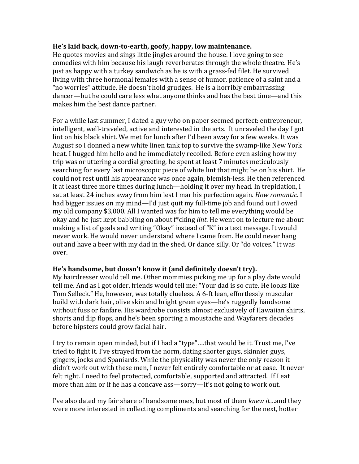#### He's laid back, down-to-earth, goofy, happy, low maintenance.

He quotes movies and sings little jingles around the house. I love going to see comedies with him because his laugh reverberates through the whole theatre. He's just as happy with a turkey sandwich as he is with a grass-fed filet. He survived living with three hormonal females with a sense of humor, patience of a saint and a "no worries" attitude. He doesn't hold grudges. He is a horribly embarrassing dancer—but he could care less what anyone thinks and has the best time—and this makes him the best dance partner.

For a while last summer, I dated a guy who on paper seemed perfect: entrepreneur, intelligent, well-traveled, active and interested in the arts. It unraveled the day I got lint on his black shirt. We met for lunch after I'd been away for a few weeks. It was August so I donned a new white linen tank top to survive the swamp-like New York heat. I hugged him hello and he immediately recoiled. Before even asking how my trip was or uttering a cordial greeting, he spent at least 7 minutes meticulously searching for every last microscopic piece of white lint that might be on his shirt. He could not rest until his appearance was once again, blemish-less. He then referenced it at least three more times during lunch—holding it over my head. In trepidation, I sat at least 24 inches away from him lest I mar his perfection again. *How romantic*. I had bigger issues on my mind—I'd just quit my full-time job and found out I owed my old company \$3,000. All I wanted was for him to tell me everything would be okay and he just kept babbling on about f<sup>\*</sup>cking *lint*. He went on to lecture me about making a list of goals and writing "Okay" instead of "K" in a text message. It would never work. He would never understand where I came from. He could never hang out and have a beer with my dad in the shed. Or dance silly. Or "do voices." It was over. 

# He's handsome, but doesn't know it (and definitely doesn't try).

My hairdresser would tell me. Other mommies picking me up for a play date would tell me. And as I got older, friends would tell me: "Your dad is so cute. He looks like Tom Selleck." He, however, was totally clueless. A 6-ft lean, effortlessly muscular build with dark hair, olive skin and bright green eyes—he's ruggedly handsome without fuss or fanfare. His wardrobe consists almost exclusively of Hawaiian shirts, shorts and flip flops, and he's been sporting a moustache and Wayfarers decades before hipsters could grow facial hair.

I try to remain open minded, but if I had a "type"....that would be it. Trust me, I've tried to fight it. I've strayed from the norm, dating shorter guys, skinnier guys, gingers, jocks and Spaniards. While the physicality was never the only reason it didn't work out with these men, I never felt entirely comfortable or at ease. It never felt right. I need to feel protected, comfortable, supported and attracted. If I eat more than him or if he has a concave ass—sorry—it's not going to work out.

I've also dated my fair share of handsome ones, but most of them *knew it*…and they were more interested in collecting compliments and searching for the next, hotter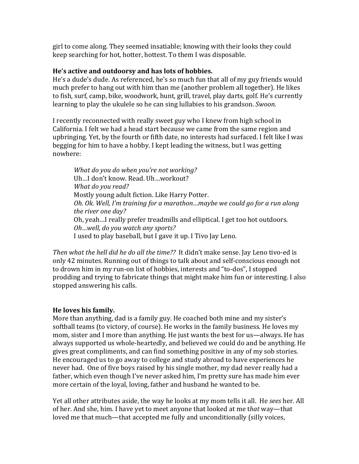girl to come along. They seemed insatiable; knowing with their looks they could keep searching for hot, hotter, hottest. To them I was disposable.

### He's active and outdoorsy and has lots of hobbies.

He's a dude's dude. As referenced, he's so much fun that all of my guy friends would much prefer to hang out with him than me (another problem all together). He likes to fish, surf, camp, bike, woodwork, hunt, grill, travel, play darts, golf. He's currently learning to play the ukulele so he can sing lullabies to his grandson. *Swoon*.

I recently reconnected with really sweet guy who I knew from high school in California. I felt we had a head start because we came from the same region and upbringing. Yet, by the fourth or fifth date, no interests had surfaced. I felt like I was begging for him to have a hobby. I kept leading the witness, but I was getting nowhere:

*What do you do when you're not working?* Uh...I don't know. Read. Uh...workout? *What do you read?* Mostly young adult fiction. Like Harry Potter. *Oh. Ok.* Well, I'm training for a marathon...maybe we could go for a run along the river one day? Oh, yeah...I really prefer treadmills and elliptical. I get too hot outdoors. *Oh…well, do you watch any sports?* I used to play baseball, but I gave it up. I Tivo Jay Leno.

*Then* what the hell did he do all the time?? It didn't make sense. Jay Leno tivo-ed is only 42 minutes. Running out of things to talk about and self-conscious enough not to drown him in my run-on list of hobbies, interests and "to-dos", I stopped prodding and trying to fabricate things that might make him fun or interesting. I also stopped answering his calls.

# **He loves his family.**

More than anything, dad is a family guy. He coached both mine and my sister's softball teams (to victory, of course). He works in the family business. He loves my mom, sister and I more than anything. He just wants the best for us—always. He has always supported us whole-heartedly, and believed we could do and be anything. He gives great compliments, and can find something positive in any of my sob stories. He encouraged us to go away to college and study abroad to have experiences he never had. One of five boys raised by his single mother, my dad never really had a father, which even though I've never asked him, I'm pretty sure has made him ever more certain of the loyal, loving, father and husband he wanted to be.

Yet all other attributes aside, the way he looks at my mom tells it all. He *sees* her. All of her. And she, him. I have yet to meet anyone that looked at me that way—that loved me that much—that accepted me fully and unconditionally (silly voices,